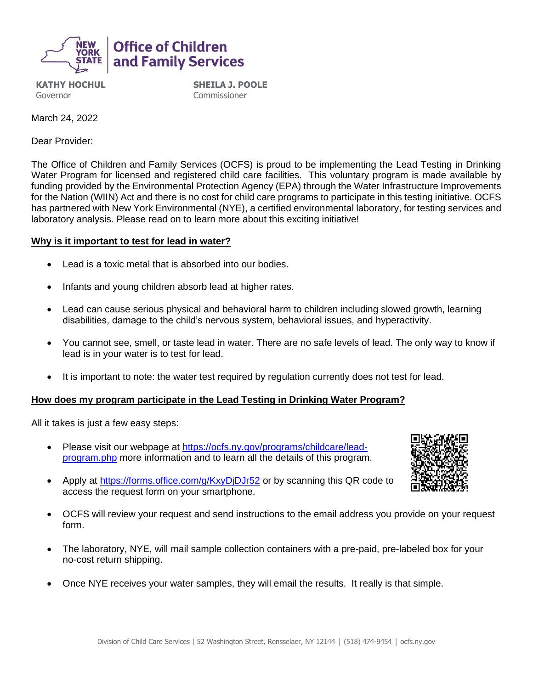

**KATHY HOCHUL** Governor

**SHEILA J. POOLE Commissioner** 

March 24, 2022

Dear Provider:

The Office of Children and Family Services (OCFS) is proud to be implementing the Lead Testing in Drinking Water Program for licensed and registered child care facilities. This voluntary program is made available by funding provided by the Environmental Protection Agency (EPA) through the Water Infrastructure Improvements for the Nation (WIIN) Act and there is no cost for child care programs to participate in this testing initiative. OCFS has partnered with New York Environmental (NYE), a certified environmental laboratory, for testing services and laboratory analysis. Please read on to learn more about this exciting initiative!

## **Why is it important to test for lead in water?**

- Lead is a toxic metal that is absorbed into our bodies.
- Infants and young children absorb lead at higher rates.
- Lead can cause serious physical and behavioral harm to children including slowed growth, learning disabilities, damage to the child's nervous system, behavioral issues, and hyperactivity.
- You cannot see, smell, or taste lead in water. There are no safe levels of lead. The only way to know if lead is in your water is to test for lead.
- It is important to note: the water test required by requiation currently does not test for lead.

## **How does my program participate in the Lead Testing in Drinking Water Program?**

All it takes is just a few easy steps:

• Please visit our webpage at [https://ocfs.ny.gov/programs/childcare/lead](https://ocfs.ny.gov/programs/childcare/lead-program.php)[program.php](https://ocfs.ny.gov/programs/childcare/lead-program.php) more information and to learn all the details of this program.



- Apply at<https://forms.office.com/g/KxyDjDJr52> or by scanning this QR code to access the request form on your smartphone.
- OCFS will review your request and send instructions to the email address you provide on your request form.
- The laboratory, NYE, will mail sample collection containers with a pre-paid, pre-labeled box for your no-cost return shipping.
- Once NYE receives your water samples, they will email the results. It really is that simple.